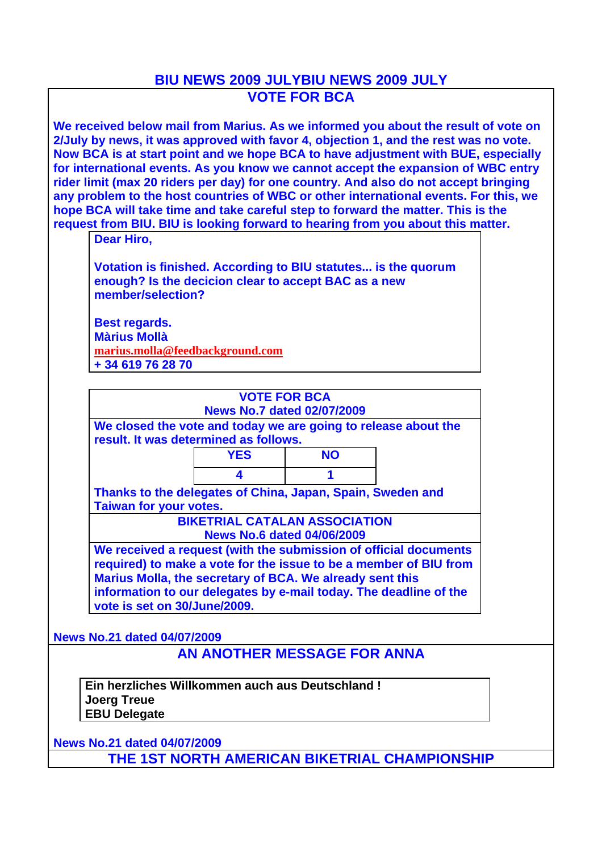## **BIU NEWS 2009 JULYBIU NEWS 2009 JULY VOTE FOR BCA**

**We received below mail from Marius. As we informed you about the result of vote on 2/July by news, it was approved with favor 4, objection 1, and the rest was no vote. Now BCA is at start point and we hope BCA to have adjustment with BUE, especially for international events. As you know we cannot accept the expansion of WBC entry rider limit (max 20 riders per day) for one country. And also do not accept bringing any problem to the host countries of WBC or other international events. For this, we hope BCA will take time and take careful step to forward the matter. This is the request from BIU. BIU is looking forward to hearing from you about this matter.**

**Dear Hiro,**

**Votation is finished. According to BIU statutes... is the quorum enough? Is the decicion clear to accept BAC as a new member/selection?**

**Best regards. Màrius Mollà marius.molla@feedbackground.com + 34 619 76 28 70**

|                                                                                             | <b>VOTE FOR BCA</b>                  |           |                                                                                                                                                                                                            |
|---------------------------------------------------------------------------------------------|--------------------------------------|-----------|------------------------------------------------------------------------------------------------------------------------------------------------------------------------------------------------------------|
|                                                                                             | <b>News No.7 dated 02/07/2009</b>    |           |                                                                                                                                                                                                            |
| result. It was determined as follows.                                                       |                                      |           | We closed the vote and today we are going to release about the                                                                                                                                             |
|                                                                                             | <b>YES</b>                           | <b>NO</b> |                                                                                                                                                                                                            |
|                                                                                             | 4                                    |           |                                                                                                                                                                                                            |
| Thanks to the delegates of China, Japan, Spain, Sweden and<br><b>Taiwan for your votes.</b> |                                      |           |                                                                                                                                                                                                            |
|                                                                                             | <b>BIKETRIAL CATALAN ASSOCIATION</b> |           |                                                                                                                                                                                                            |
|                                                                                             | <b>News No.6 dated 04/06/2009</b>    |           |                                                                                                                                                                                                            |
| Marius Molla, the secretary of BCA. We already sent this<br>vote is set on 30/June/2009.    |                                      |           | We received a request (with the submission of official documents<br>required) to make a vote for the issue to be a member of BIU from<br>information to our delegates by e-mail today. The deadline of the |
| <b>News No.21 dated 04/07/2009</b>                                                          |                                      |           |                                                                                                                                                                                                            |
|                                                                                             | AN ANOTHER MESSAGE FOR ANNA          |           |                                                                                                                                                                                                            |

**Ein herzliches Willkommen auch aus Deutschland ! Joerg Treue EBU Delegate**

**News No.21 dated 04/07/2009 THE 1ST NORTH AMERICAN BIKETRIAL CHAMPIONSHIP**